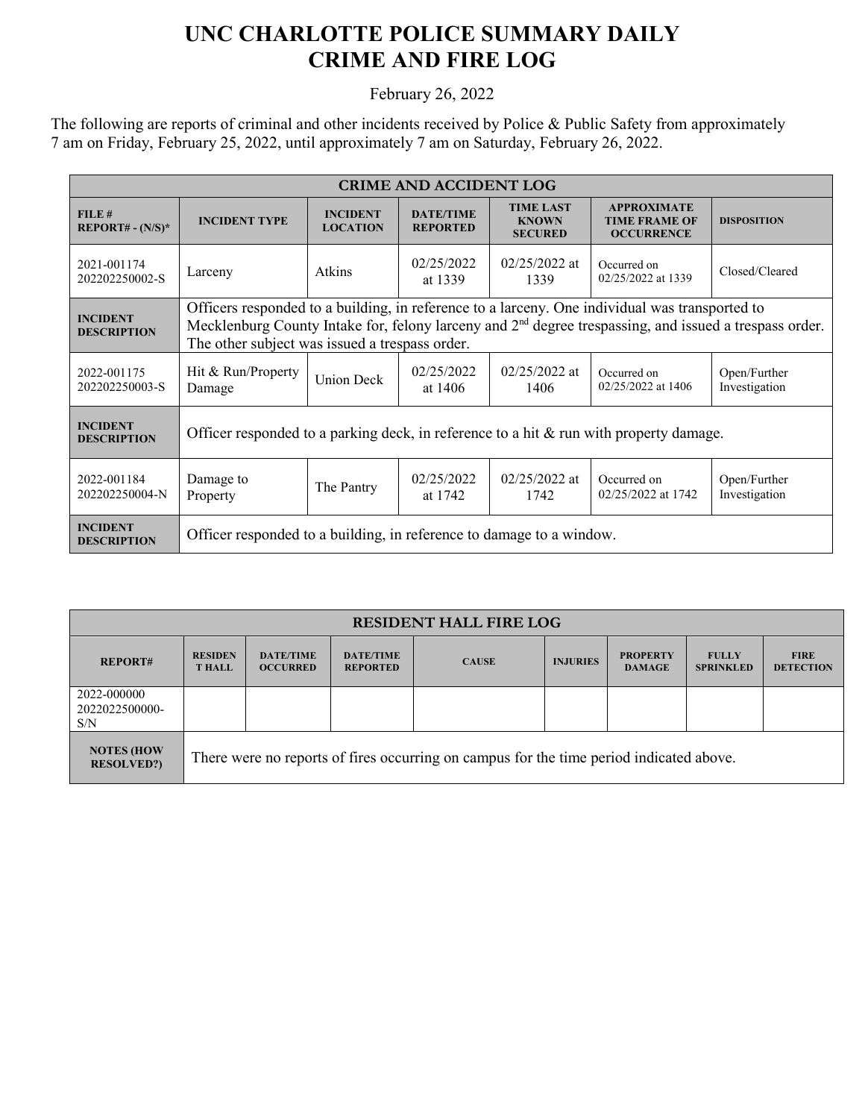## **UNC CHARLOTTE POLICE SUMMARY DAILY CRIME AND FIRE LOG**

February 26, 2022

The following are reports of criminal and other incidents received by Police & Public Safety from approximately 7 am on Friday, February 25, 2022, until approximately 7 am on Saturday, February 26, 2022.

| <b>CRIME AND ACCIDENT LOG</b>         |                                                                                                                                                                                                                                                                        |                                    |                                     |                                                    |                                                                 |                               |  |
|---------------------------------------|------------------------------------------------------------------------------------------------------------------------------------------------------------------------------------------------------------------------------------------------------------------------|------------------------------------|-------------------------------------|----------------------------------------------------|-----------------------------------------------------------------|-------------------------------|--|
| FILE#<br>$REPORT# - (N/S)*$           | <b>INCIDENT TYPE</b>                                                                                                                                                                                                                                                   | <b>INCIDENT</b><br><b>LOCATION</b> | <b>DATE/TIME</b><br><b>REPORTED</b> | <b>TIME LAST</b><br><b>KNOWN</b><br><b>SECURED</b> | <b>APPROXIMATE</b><br><b>TIME FRAME OF</b><br><b>OCCURRENCE</b> | <b>DISPOSITION</b>            |  |
| 2021-001174<br>202202250002-S         | Larceny                                                                                                                                                                                                                                                                | Atkins                             | 02/25/2022<br>at 1339               | $02/25/2022$ at<br>1339                            | Occurred on<br>02/25/2022 at 1339                               | Closed/Cleared                |  |
| <b>INCIDENT</b><br><b>DESCRIPTION</b> | Officers responded to a building, in reference to a larceny. One individual was transported to<br>Mecklenburg County Intake for, felony larceny and 2 <sup>nd</sup> degree trespassing, and issued a trespass order.<br>The other subject was issued a trespass order. |                                    |                                     |                                                    |                                                                 |                               |  |
| 2022-001175<br>202202250003-S         | Hit & Run/Property<br>Damage                                                                                                                                                                                                                                           | <b>Union Deck</b>                  | 02/25/2022<br>at 1406               | $02/25/2022$ at<br>1406                            | Occurred on<br>02/25/2022 at 1406                               | Open/Further<br>Investigation |  |
| <b>INCIDENT</b><br><b>DESCRIPTION</b> | Officer responded to a parking deck, in reference to a hit $\&$ run with property damage.                                                                                                                                                                              |                                    |                                     |                                                    |                                                                 |                               |  |
| 2022-001184<br>202202250004-N         | Damage to<br>Property                                                                                                                                                                                                                                                  | The Pantry                         | 02/25/2022<br>at 1742               | $02/25/2022$ at<br>1742                            | Occurred on<br>02/25/2022 at 1742                               | Open/Further<br>Investigation |  |
| <b>INCIDENT</b><br><b>DESCRIPTION</b> | Officer responded to a building, in reference to damage to a window.                                                                                                                                                                                                   |                                    |                                     |                                                    |                                                                 |                               |  |

| <b>RESIDENT HALL FIRE LOG</b>          |                                                                                         |                                     |                                     |              |                 |                                  |                                  |                                 |
|----------------------------------------|-----------------------------------------------------------------------------------------|-------------------------------------|-------------------------------------|--------------|-----------------|----------------------------------|----------------------------------|---------------------------------|
| <b>REPORT#</b>                         | <b>RESIDEN</b><br><b>T HALL</b>                                                         | <b>DATE/TIME</b><br><b>OCCURRED</b> | <b>DATE/TIME</b><br><b>REPORTED</b> | <b>CAUSE</b> | <b>INJURIES</b> | <b>PROPERTY</b><br><b>DAMAGE</b> | <b>FULLY</b><br><b>SPRINKLED</b> | <b>FIRE</b><br><b>DETECTION</b> |
| 2022-000000<br>2022022500000-<br>S/N   |                                                                                         |                                     |                                     |              |                 |                                  |                                  |                                 |
| <b>NOTES (HOW</b><br><b>RESOLVED?)</b> | There were no reports of fires occurring on campus for the time period indicated above. |                                     |                                     |              |                 |                                  |                                  |                                 |